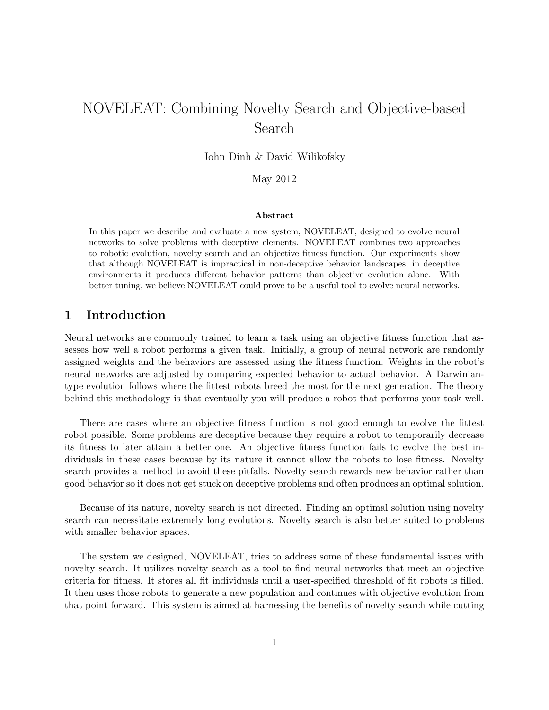# NOVELEAT: Combining Novelty Search and Objective-based Search

John Dinh & David Wilikofsky

May 2012

#### Abstract

In this paper we describe and evaluate a new system, NOVELEAT, designed to evolve neural networks to solve problems with deceptive elements. NOVELEAT combines two approaches to robotic evolution, novelty search and an objective fitness function. Our experiments show that although NOVELEAT is impractical in non-deceptive behavior landscapes, in deceptive environments it produces different behavior patterns than objective evolution alone. With better tuning, we believe NOVELEAT could prove to be a useful tool to evolve neural networks.

# 1 Introduction

Neural networks are commonly trained to learn a task using an objective fitness function that assesses how well a robot performs a given task. Initially, a group of neural network are randomly assigned weights and the behaviors are assessed using the fitness function. Weights in the robot's neural networks are adjusted by comparing expected behavior to actual behavior. A Darwiniantype evolution follows where the fittest robots breed the most for the next generation. The theory behind this methodology is that eventually you will produce a robot that performs your task well.

There are cases where an objective fitness function is not good enough to evolve the fittest robot possible. Some problems are deceptive because they require a robot to temporarily decrease its fitness to later attain a better one. An objective fitness function fails to evolve the best individuals in these cases because by its nature it cannot allow the robots to lose fitness. Novelty search provides a method to avoid these pitfalls. Novelty search rewards new behavior rather than good behavior so it does not get stuck on deceptive problems and often produces an optimal solution.

Because of its nature, novelty search is not directed. Finding an optimal solution using novelty search can necessitate extremely long evolutions. Novelty search is also better suited to problems with smaller behavior spaces.

The system we designed, NOVELEAT, tries to address some of these fundamental issues with novelty search. It utilizes novelty search as a tool to find neural networks that meet an objective criteria for fitness. It stores all fit individuals until a user-specified threshold of fit robots is filled. It then uses those robots to generate a new population and continues with objective evolution from that point forward. This system is aimed at harnessing the benefits of novelty search while cutting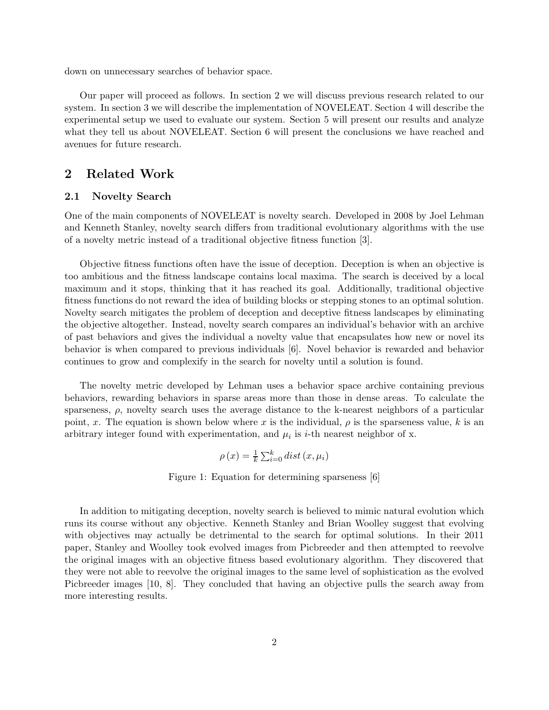down on unnecessary searches of behavior space.

Our paper will proceed as follows. In section 2 we will discuss previous research related to our system. In section 3 we will describe the implementation of NOVELEAT. Section 4 will describe the experimental setup we used to evaluate our system. Section 5 will present our results and analyze what they tell us about NOVELEAT. Section 6 will present the conclusions we have reached and avenues for future research.

# 2 Related Work

## 2.1 Novelty Search

One of the main components of NOVELEAT is novelty search. Developed in 2008 by Joel Lehman and Kenneth Stanley, novelty search differs from traditional evolutionary algorithms with the use of a novelty metric instead of a traditional objective fitness function [3].

Objective fitness functions often have the issue of deception. Deception is when an objective is too ambitious and the fitness landscape contains local maxima. The search is deceived by a local maximum and it stops, thinking that it has reached its goal. Additionally, traditional objective fitness functions do not reward the idea of building blocks or stepping stones to an optimal solution. Novelty search mitigates the problem of deception and deceptive fitness landscapes by eliminating the objective altogether. Instead, novelty search compares an individual's behavior with an archive of past behaviors and gives the individual a novelty value that encapsulates how new or novel its behavior is when compared to previous individuals [6]. Novel behavior is rewarded and behavior continues to grow and complexify in the search for novelty until a solution is found.

The novelty metric developed by Lehman uses a behavior space archive containing previous behaviors, rewarding behaviors in sparse areas more than those in dense areas. To calculate the sparseness,  $\rho$ , novelty search uses the average distance to the k-nearest neighbors of a particular point, x. The equation is shown below where x is the individual,  $\rho$  is the sparseness value, k is an arbitrary integer found with experimentation, and  $\mu_i$  is *i*-th nearest neighbor of x.

$$
\rho(x) = \frac{1}{k} \sum_{i=0}^{k} dist(x, \mu_i)
$$

Figure 1: Equation for determining sparseness [6]

In addition to mitigating deception, novelty search is believed to mimic natural evolution which runs its course without any objective. Kenneth Stanley and Brian Woolley suggest that evolving with objectives may actually be detrimental to the search for optimal solutions. In their 2011 paper, Stanley and Woolley took evolved images from Picbreeder and then attempted to reevolve the original images with an objective fitness based evolutionary algorithm. They discovered that they were not able to reevolve the original images to the same level of sophistication as the evolved Picbreeder images [10, 8]. They concluded that having an objective pulls the search away from more interesting results.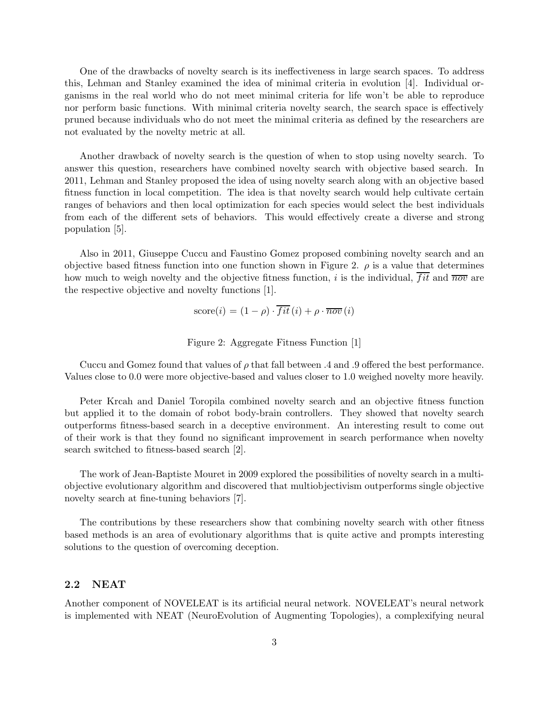One of the drawbacks of novelty search is its ineffectiveness in large search spaces. To address this, Lehman and Stanley examined the idea of minimal criteria in evolution [4]. Individual organisms in the real world who do not meet minimal criteria for life won't be able to reproduce nor perform basic functions. With minimal criteria novelty search, the search space is effectively pruned because individuals who do not meet the minimal criteria as defined by the researchers are not evaluated by the novelty metric at all.

Another drawback of novelty search is the question of when to stop using novelty search. To answer this question, researchers have combined novelty search with objective based search. In 2011, Lehman and Stanley proposed the idea of using novelty search along with an objective based fitness function in local competition. The idea is that novelty search would help cultivate certain ranges of behaviors and then local optimization for each species would select the best individuals from each of the different sets of behaviors. This would effectively create a diverse and strong population [5].

Also in 2011, Giuseppe Cuccu and Faustino Gomez proposed combining novelty search and an objective based fitness function into one function shown in Figure 2.  $\rho$  is a value that determines how much to weigh novelty and the objective fitness function, i is the individual,  $\overline{fit}$  and  $\overline{nov}$  are the respective objective and novelty functions [1].

score(i) = 
$$
(1 - \rho) \cdot \overline{fit}(i) + \rho \cdot \overline{nov}(i)
$$

Figure 2: Aggregate Fitness Function [1]

Cuccu and Gomez found that values of  $\rho$  that fall between .4 and .9 offered the best performance. Values close to 0.0 were more objective-based and values closer to 1.0 weighed novelty more heavily.

Peter Krcah and Daniel Toropila combined novelty search and an objective fitness function but applied it to the domain of robot body-brain controllers. They showed that novelty search outperforms fitness-based search in a deceptive environment. An interesting result to come out of their work is that they found no significant improvement in search performance when novelty search switched to fitness-based search [2].

The work of Jean-Baptiste Mouret in 2009 explored the possibilities of novelty search in a multiobjective evolutionary algorithm and discovered that multiobjectivism outperforms single objective novelty search at fine-tuning behaviors [7].

The contributions by these researchers show that combining novelty search with other fitness based methods is an area of evolutionary algorithms that is quite active and prompts interesting solutions to the question of overcoming deception.

## 2.2 NEAT

Another component of NOVELEAT is its artificial neural network. NOVELEAT's neural network is implemented with NEAT (NeuroEvolution of Augmenting Topologies), a complexifying neural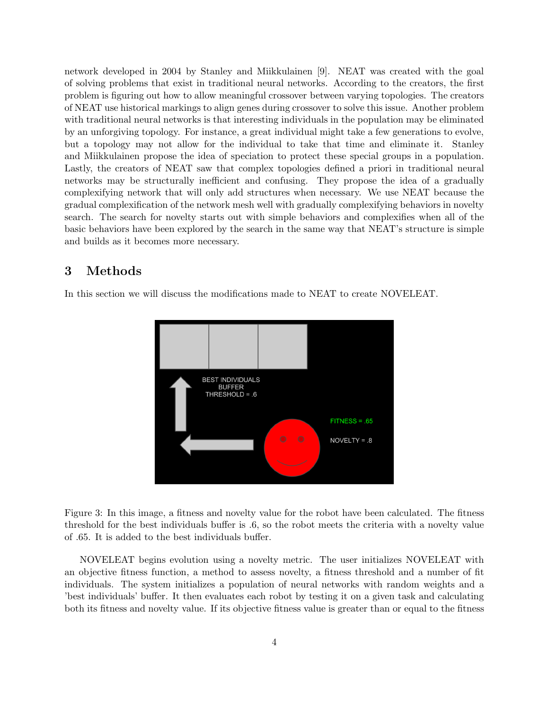network developed in 2004 by Stanley and Miikkulainen [9]. NEAT was created with the goal of solving problems that exist in traditional neural networks. According to the creators, the first problem is figuring out how to allow meaningful crossover between varying topologies. The creators of NEAT use historical markings to align genes during crossover to solve this issue. Another problem with traditional neural networks is that interesting individuals in the population may be eliminated by an unforgiving topology. For instance, a great individual might take a few generations to evolve, but a topology may not allow for the individual to take that time and eliminate it. Stanley and Miikkulainen propose the idea of speciation to protect these special groups in a population. Lastly, the creators of NEAT saw that complex topologies defined a priori in traditional neural networks may be structurally inefficient and confusing. They propose the idea of a gradually complexifying network that will only add structures when necessary. We use NEAT because the gradual complexification of the network mesh well with gradually complexifying behaviors in novelty search. The search for novelty starts out with simple behaviors and complexifies when all of the basic behaviors have been explored by the search in the same way that NEAT's structure is simple and builds as it becomes more necessary.

# 3 Methods

In this section we will discuss the modifications made to NEAT to create NOVELEAT.



Figure 3: In this image, a fitness and novelty value for the robot have been calculated. The fitness threshold for the best individuals buffer is .6, so the robot meets the criteria with a novelty value of .65. It is added to the best individuals buffer.

NOVELEAT begins evolution using a novelty metric. The user initializes NOVELEAT with an objective fitness function, a method to assess novelty, a fitness threshold and a number of fit individuals. The system initializes a population of neural networks with random weights and a 'best individuals' buffer. It then evaluates each robot by testing it on a given task and calculating both its fitness and novelty value. If its objective fitness value is greater than or equal to the fitness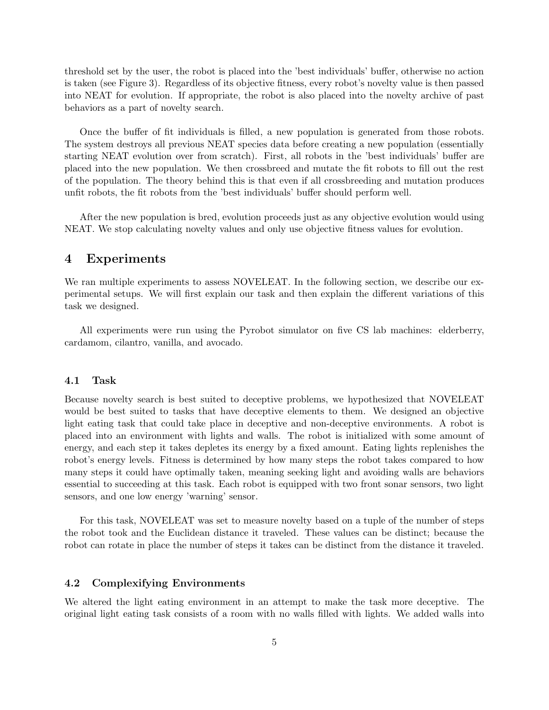threshold set by the user, the robot is placed into the 'best individuals' buffer, otherwise no action is taken (see Figure 3). Regardless of its objective fitness, every robot's novelty value is then passed into NEAT for evolution. If appropriate, the robot is also placed into the novelty archive of past behaviors as a part of novelty search.

Once the buffer of fit individuals is filled, a new population is generated from those robots. The system destroys all previous NEAT species data before creating a new population (essentially starting NEAT evolution over from scratch). First, all robots in the 'best individuals' buffer are placed into the new population. We then crossbreed and mutate the fit robots to fill out the rest of the population. The theory behind this is that even if all crossbreeding and mutation produces unfit robots, the fit robots from the 'best individuals' buffer should perform well.

After the new population is bred, evolution proceeds just as any objective evolution would using NEAT. We stop calculating novelty values and only use objective fitness values for evolution.

## 4 Experiments

We ran multiple experiments to assess NOVELEAT. In the following section, we describe our experimental setups. We will first explain our task and then explain the different variations of this task we designed.

All experiments were run using the Pyrobot simulator on five CS lab machines: elderberry, cardamom, cilantro, vanilla, and avocado.

### 4.1 Task

Because novelty search is best suited to deceptive problems, we hypothesized that NOVELEAT would be best suited to tasks that have deceptive elements to them. We designed an objective light eating task that could take place in deceptive and non-deceptive environments. A robot is placed into an environment with lights and walls. The robot is initialized with some amount of energy, and each step it takes depletes its energy by a fixed amount. Eating lights replenishes the robot's energy levels. Fitness is determined by how many steps the robot takes compared to how many steps it could have optimally taken, meaning seeking light and avoiding walls are behaviors essential to succeeding at this task. Each robot is equipped with two front sonar sensors, two light sensors, and one low energy 'warning' sensor.

For this task, NOVELEAT was set to measure novelty based on a tuple of the number of steps the robot took and the Euclidean distance it traveled. These values can be distinct; because the robot can rotate in place the number of steps it takes can be distinct from the distance it traveled.

## 4.2 Complexifying Environments

We altered the light eating environment in an attempt to make the task more deceptive. The original light eating task consists of a room with no walls filled with lights. We added walls into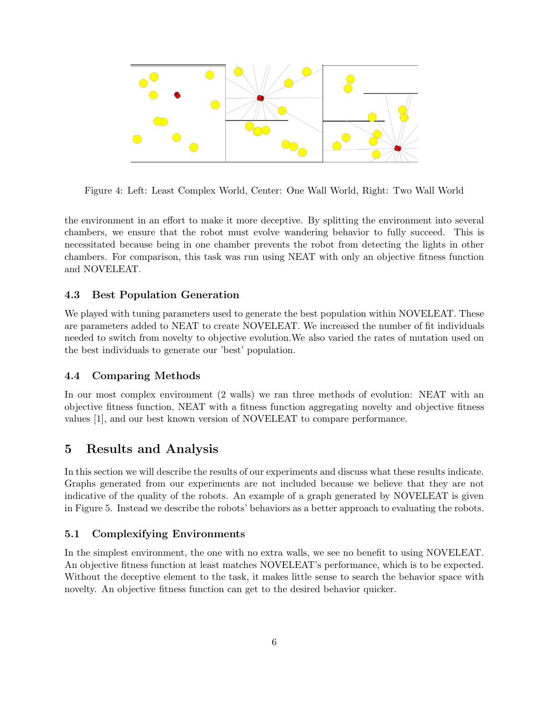

Figure 4: Left: Least Complex World, Center: One Wall World, Right: Two Wall World

the environment in an effort to make it more deceptive. By splitting the environment into several chambers, we ensure that the robot must evolve wandering behavior to fully succeed. This is necessitated because being in one chamber prevents the robot from detecting the lights in other chambers. For comparison, this task was run using NEAT with only an objective fitness function and NOVELEAT.

## 4.3 Best Population Generation

We played with tuning parameters used to generate the best population within NOVELEAT. These are parameters added to NEAT to create NOVELEAT. We increased the number of fit individuals needed to switch from novelty to objective evolution.We also varied the rates of mutation used on the best individuals to generate our 'best' population.

## 4.4 Comparing Methods

In our most complex environment (2 walls) we ran three methods of evolution: NEAT with an objective fitness function, NEAT with a fitness function aggregating novelty and objective fitness values [1], and our best known version of NOVELEAT to compare performance.

# 5 Results and Analysis

In this section we will describe the results of our experiments and discuss what these results indicate. Graphs generated from our experiments are not included because we believe that they are not indicative of the quality of the robots. An example of a graph generated by NOVELEAT is given in Figure 5. Instead we describe the robots' behaviors as a better approach to evaluating the robots.

## 5.1 Complexifying Environments

In the simplest environment, the one with no extra walls, we see no benefit to using NOVELEAT. An objective fitness function at least matches NOVELEAT's performance, which is to be expected. Without the deceptive element to the task, it makes little sense to search the behavior space with novelty. An objective fitness function can get to the desired behavior quicker.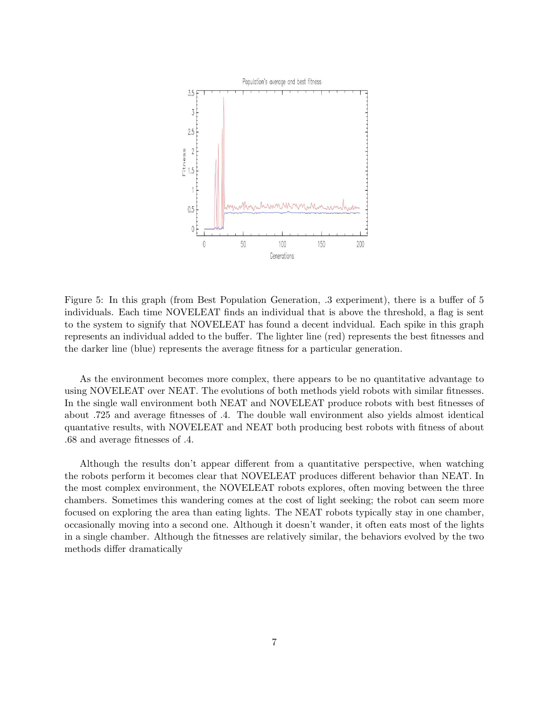

Figure 5: In this graph (from Best Population Generation, .3 experiment), there is a buffer of 5 individuals. Each time NOVELEAT finds an individual that is above the threshold, a flag is sent to the system to signify that NOVELEAT has found a decent indvidual. Each spike in this graph represents an individual added to the buffer. The lighter line (red) represents the best fitnesses and the darker line (blue) represents the average fitness for a particular generation.

As the environment becomes more complex, there appears to be no quantitative advantage to using NOVELEAT over NEAT. The evolutions of both methods yield robots with similar fitnesses. In the single wall environment both NEAT and NOVELEAT produce robots with best fitnesses of about .725 and average fitnesses of .4. The double wall environment also yields almost identical quantative results, with NOVELEAT and NEAT both producing best robots with fitness of about .68 and average fitnesses of .4.

Although the results don't appear different from a quantitative perspective, when watching the robots perform it becomes clear that NOVELEAT produces different behavior than NEAT. In the most complex environment, the NOVELEAT robots explores, often moving between the three chambers. Sometimes this wandering comes at the cost of light seeking; the robot can seem more focused on exploring the area than eating lights. The NEAT robots typically stay in one chamber, occasionally moving into a second one. Although it doesn't wander, it often eats most of the lights in a single chamber. Although the fitnesses are relatively similar, the behaviors evolved by the two methods differ dramatically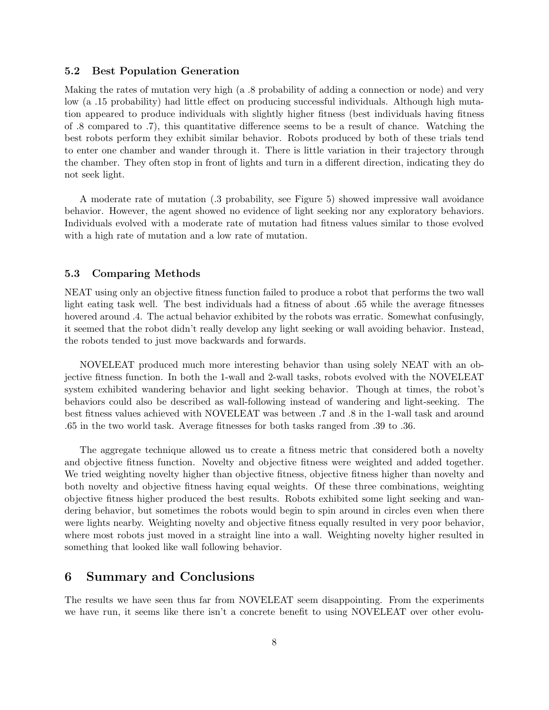## 5.2 Best Population Generation

Making the rates of mutation very high (a .8 probability of adding a connection or node) and very low (a .15 probability) had little effect on producing successful individuals. Although high mutation appeared to produce individuals with slightly higher fitness (best individuals having fitness of .8 compared to .7), this quantitative difference seems to be a result of chance. Watching the best robots perform they exhibit similar behavior. Robots produced by both of these trials tend to enter one chamber and wander through it. There is little variation in their trajectory through the chamber. They often stop in front of lights and turn in a different direction, indicating they do not seek light.

A moderate rate of mutation (.3 probability, see Figure 5) showed impressive wall avoidance behavior. However, the agent showed no evidence of light seeking nor any exploratory behaviors. Individuals evolved with a moderate rate of mutation had fitness values similar to those evolved with a high rate of mutation and a low rate of mutation.

### 5.3 Comparing Methods

NEAT using only an objective fitness function failed to produce a robot that performs the two wall light eating task well. The best individuals had a fitness of about .65 while the average fitnesses hovered around .4. The actual behavior exhibited by the robots was erratic. Somewhat confusingly, it seemed that the robot didn't really develop any light seeking or wall avoiding behavior. Instead, the robots tended to just move backwards and forwards.

NOVELEAT produced much more interesting behavior than using solely NEAT with an objective fitness function. In both the 1-wall and 2-wall tasks, robots evolved with the NOVELEAT system exhibited wandering behavior and light seeking behavior. Though at times, the robot's behaviors could also be described as wall-following instead of wandering and light-seeking. The best fitness values achieved with NOVELEAT was between .7 and .8 in the 1-wall task and around .65 in the two world task. Average fitnesses for both tasks ranged from .39 to .36.

The aggregate technique allowed us to create a fitness metric that considered both a novelty and objective fitness function. Novelty and objective fitness were weighted and added together. We tried weighting novelty higher than objective fitness, objective fitness higher than novelty and both novelty and objective fitness having equal weights. Of these three combinations, weighting objective fitness higher produced the best results. Robots exhibited some light seeking and wandering behavior, but sometimes the robots would begin to spin around in circles even when there were lights nearby. Weighting novelty and objective fitness equally resulted in very poor behavior, where most robots just moved in a straight line into a wall. Weighting novelty higher resulted in something that looked like wall following behavior.

# 6 Summary and Conclusions

The results we have seen thus far from NOVELEAT seem disappointing. From the experiments we have run, it seems like there isn't a concrete benefit to using NOVELEAT over other evolu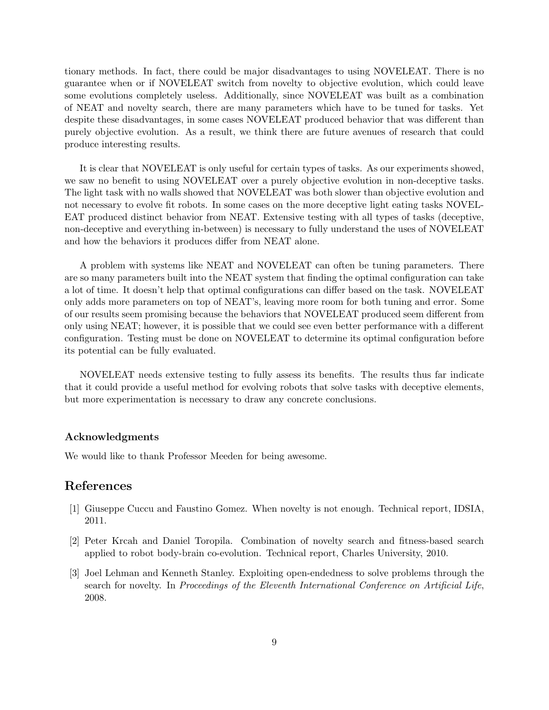tionary methods. In fact, there could be major disadvantages to using NOVELEAT. There is no guarantee when or if NOVELEAT switch from novelty to objective evolution, which could leave some evolutions completely useless. Additionally, since NOVELEAT was built as a combination of NEAT and novelty search, there are many parameters which have to be tuned for tasks. Yet despite these disadvantages, in some cases NOVELEAT produced behavior that was different than purely objective evolution. As a result, we think there are future avenues of research that could produce interesting results.

It is clear that NOVELEAT is only useful for certain types of tasks. As our experiments showed, we saw no benefit to using NOVELEAT over a purely objective evolution in non-deceptive tasks. The light task with no walls showed that NOVELEAT was both slower than objective evolution and not necessary to evolve fit robots. In some cases on the more deceptive light eating tasks NOVEL-EAT produced distinct behavior from NEAT. Extensive testing with all types of tasks (deceptive, non-deceptive and everything in-between) is necessary to fully understand the uses of NOVELEAT and how the behaviors it produces differ from NEAT alone.

A problem with systems like NEAT and NOVELEAT can often be tuning parameters. There are so many parameters built into the NEAT system that finding the optimal configuration can take a lot of time. It doesn't help that optimal configurations can differ based on the task. NOVELEAT only adds more parameters on top of NEAT's, leaving more room for both tuning and error. Some of our results seem promising because the behaviors that NOVELEAT produced seem different from only using NEAT; however, it is possible that we could see even better performance with a different configuration. Testing must be done on NOVELEAT to determine its optimal configuration before its potential can be fully evaluated.

NOVELEAT needs extensive testing to fully assess its benefits. The results thus far indicate that it could provide a useful method for evolving robots that solve tasks with deceptive elements, but more experimentation is necessary to draw any concrete conclusions.

### Acknowledgments

We would like to thank Professor Meeden for being awesome.

# References

- [1] Giuseppe Cuccu and Faustino Gomez. When novelty is not enough. Technical report, IDSIA, 2011.
- [2] Peter Krcah and Daniel Toropila. Combination of novelty search and fitness-based search applied to robot body-brain co-evolution. Technical report, Charles University, 2010.
- [3] Joel Lehman and Kenneth Stanley. Exploiting open-endedness to solve problems through the search for novelty. In Proceedings of the Eleventh International Conference on Artificial Life, 2008.